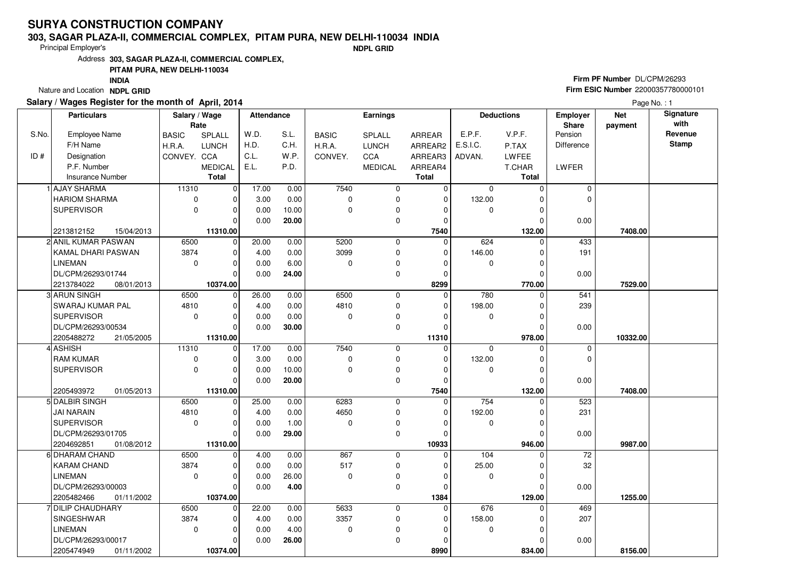#### **303, SAGAR PLAZA-II, COMMERCIAL COMPLEX, PITAM PURA, NEW DELHI-110034 INDIA**

Principal Employer's

**NDPL GRID**

Address**303, SAGAR PLAZA-II, COMMERCIAL COMPLEX,**

### **PITAM PURA, NEW DELHI-110034**

**INDIA**

Nature and Location **NDPL GRID** 

### **Salary / Wages Register for the month of April, 2014**

# **Firm PF Number** DL/CPM/26293 **Firm ESIC Number** <sup>22000357780000101</sup>

|       | <b>Particulars</b>       | Salary / Wage<br>Rate |                | Attendance |       |              | <b>Earnings</b> |              |             | <b>Deductions</b> | Employer<br><b>Share</b> | <b>Net</b><br>payment | Signature<br>with |
|-------|--------------------------|-----------------------|----------------|------------|-------|--------------|-----------------|--------------|-------------|-------------------|--------------------------|-----------------------|-------------------|
| S.No. | Employee Name            | <b>BASIC</b>          | SPLALL         | W.D.       | S.L.  | <b>BASIC</b> | SPLALL          | ARREAR       | E.P.F.      | V.P.F.            | Pension                  |                       | Revenue           |
|       | F/H Name                 | H.R.A.                | <b>LUNCH</b>   | H.D.       | C.H.  | H.R.A.       | <b>LUNCH</b>    | ARREAR2      | E.S.I.C.    | P.TAX             | Difference               |                       | <b>Stamp</b>      |
| ID#   | Designation              | CONVEY. CCA           |                | C.L.       | W.P.  | CONVEY.      | CCA             | ARREAR3      | ADVAN.      | <b>LWFEE</b>      |                          |                       |                   |
|       | P.F. Number              |                       | <b>MEDICAL</b> | E.L.       | P.D.  |              | <b>MEDICAL</b>  | ARREAR4      |             | T.CHAR            | LWFER                    |                       |                   |
|       | <b>Insurance Number</b>  |                       | <b>Total</b>   |            |       |              |                 | <b>Total</b> |             | Total             |                          |                       |                   |
|       | 1 AJAY SHARMA            | 11310                 | 0              | 17.00      | 0.00  | 7540         | 0               | 0            | $\mathbf 0$ | $\Omega$          | $\mathbf 0$              |                       |                   |
|       | <b>HARIOM SHARMA</b>     | $\mathbf 0$           | $\mathbf 0$    | 3.00       | 0.00  | 0            | 0               | $\mathbf 0$  | 132.00      | C                 | $\mathbf 0$              |                       |                   |
|       | <b>SUPERVISOR</b>        | $\mathbf 0$           | $\mathbf 0$    | 0.00       | 10.00 | 0            | 0               | $\Omega$     | $\mathbf 0$ | O                 |                          |                       |                   |
|       |                          |                       | $\Omega$       | 0.00       | 20.00 |              | 0               | $\mathbf 0$  |             | C                 | 0.00                     |                       |                   |
|       | 2213812152<br>15/04/2013 |                       | 11310.00       |            |       |              |                 | 7540         |             | 132.00            |                          | 7408.00               |                   |
|       | 2 ANIL KUMAR PASWAN      | 6500                  | $\overline{0}$ | 20.00      | 0.00  | 5200         | $\mathbf 0$     | $\mathbf 0$  | 624         | $\Omega$          | 433                      |                       |                   |
|       | KAMAL DHARI PASWAN       | 3874                  | $\mathbf 0$    | 4.00       | 0.00  | 3099         | 0               | $\mathbf 0$  | 146.00      | $\Omega$          | 191                      |                       |                   |
|       | <b>LINEMAN</b>           | $\Omega$              | $\mathbf 0$    | 0.00       | 6.00  | $\Omega$     | 0               | $\Omega$     | $\mathbf 0$ | O                 |                          |                       |                   |
|       | DL/CPM/26293/01744       |                       | $\mathbf 0$    | 0.00       | 24.00 |              | 0               | $\mathbf 0$  |             | $\Omega$          | 0.00                     |                       |                   |
|       | 2213784022<br>08/01/2013 |                       | 10374.00       |            |       |              |                 | 8299         |             | 770.00            |                          | 7529.00               |                   |
|       | 3 ARUN SINGH             | 6500                  | $\mathbf 0$    | 26.00      | 0.00  | 6500         | $\mathbf 0$     | 0            | 780         | $\Omega$          | 541                      |                       |                   |
|       | SWARAJ KUMAR PAL         | 4810                  | $\mathbf 0$    | 4.00       | 0.00  | 4810         | 0               | $\Omega$     | 198.00      | C                 | 239                      |                       |                   |
|       | <b>SUPERVISOR</b>        | $\Omega$              | $\mathbf 0$    | 0.00       | 0.00  | 0            | 0               | $\mathbf 0$  | $\mathbf 0$ | $\Omega$          |                          |                       |                   |
|       | DL/CPM/26293/00534       |                       | $\mathbf 0$    | 0.00       | 30.00 |              | 0               | $\Omega$     |             | $\mathcal{C}$     | 0.00                     |                       |                   |
|       | 2205488272<br>21/05/2005 |                       | 11310.00       |            |       |              |                 | 11310        |             | 978.00            |                          | 10332.00              |                   |
|       | 4 ASHISH                 | 11310                 | $\mathbf 0$    | 17.00      | 0.00  | 7540         | $\mathbf 0$     | $\mathbf 0$  | $\Omega$    | O                 | $\mathbf 0$              |                       |                   |
|       | <b>RAM KUMAR</b>         | 0                     | $\mathbf 0$    | 3.00       | 0.00  | 0            | 0               | $\mathbf 0$  | 132.00      |                   | $\mathbf 0$              |                       |                   |
|       | <b>SUPERVISOR</b>        | $\Omega$              | $\mathbf 0$    | 0.00       | 10.00 | 0            | 0               | $\Omega$     | $\pmb{0}$   |                   |                          |                       |                   |
|       |                          |                       | $\mathbf 0$    | 0.00       | 20.00 |              | 0               | $\mathbf 0$  |             | $\Omega$          | 0.00                     |                       |                   |
|       | 2205493972<br>01/05/2013 |                       | 11310.00       |            |       |              |                 | 7540         |             | 132.00            |                          | 7408.00               |                   |
|       | 5 DALBIR SINGH           | 6500                  | $\mathbf 0$    | 25.00      | 0.00  | 6283         | $\mathbf 0$     | $\mathbf 0$  | 754         | $\Omega$          | 523                      |                       |                   |
|       | <b>JAI NARAIN</b>        | 4810                  | $\mathbf 0$    | 4.00       | 0.00  | 4650         | 0               | $\mathbf 0$  | 192.00      |                   | 231                      |                       |                   |
|       | <b>SUPERVISOR</b>        | $\Omega$              | $\mathbf 0$    | 0.00       | 1.00  | 0            | 0               | $\Omega$     | $\mathbf 0$ | $\Omega$          |                          |                       |                   |
|       | DL/CPM/26293/01705       |                       | $\mathbf 0$    | 0.00       | 29.00 |              | 0               | $\Omega$     |             | $\mathcal{C}$     | 0.00                     |                       |                   |
|       | 2204692851<br>01/08/2012 |                       | 11310.00       |            |       |              |                 | 10933        |             | 946.00            |                          | 9987.00               |                   |
|       | 6 DHARAM CHAND           | 6500                  | $\mathbf 0$    | 4.00       | 0.00  | 867          | $\mathbf 0$     | $\Omega$     | 104         |                   | 72                       |                       |                   |
|       | <b>KARAM CHAND</b>       | 3874                  | $\mathbf 0$    | 0.00       | 0.00  | 517          | 0               | $\mathbf 0$  | 25.00       | $\Omega$          | 32                       |                       |                   |
|       | <b>LINEMAN</b>           | $\Omega$              | $\mathbf 0$    | 0.00       | 26.00 | $\mathbf 0$  | 0               | $\Omega$     | $\mathbf 0$ | $\mathcal{C}$     |                          |                       |                   |
|       | DL/CPM/26293/00003       |                       | $\mathbf 0$    | 0.00       | 4.00  |              | 0               | $\Omega$     |             | $\Omega$          | 0.00                     |                       |                   |
|       | 2205482466<br>01/11/2002 |                       | 10374.00       |            |       |              |                 | 1384         |             | 129.00            |                          | 1255.00               |                   |
|       | 7 DILIP CHAUDHARY        | 6500                  | $\mathbf 0$    | 22.00      | 0.00  | 5633         | $\mathbf 0$     | $\mathbf 0$  | 676         |                   | 469                      |                       |                   |
|       | SINGESHWAR               | 3874                  | $\mathbf 0$    | 4.00       | 0.00  | 3357         | 0               | $\mathbf 0$  | 158.00      |                   | 207                      |                       |                   |
|       | <b>LINEMAN</b>           | $\mathbf 0$           | $\mathbf 0$    | 0.00       | 4.00  | 0            | 0               | $\Omega$     | $\mathbf 0$ | $\Omega$          |                          |                       |                   |
|       | DL/CPM/26293/00017       |                       | $\mathbf 0$    | 0.00       | 26.00 |              | 0               | $\Omega$     |             | O                 | 0.00                     |                       |                   |
|       | 2205474949<br>01/11/2002 |                       | 10374.00       |            |       |              |                 | 8990         |             | 834.00            |                          | 8156.00               |                   |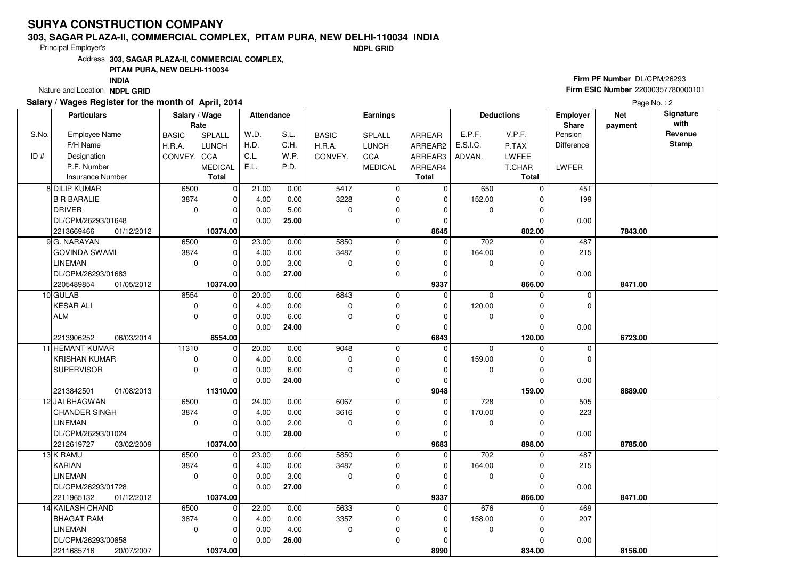#### **303, SAGAR PLAZA-II, COMMERCIAL COMPLEX, PITAM PURA, NEW DELHI-110034 INDIA**

Principal Employer's

**NDPL GRID**

Address**303, SAGAR PLAZA-II, COMMERCIAL COMPLEX,**

#### **PITAM PURA, NEW DELHI-110034**

**INDIA**

Nature and Location **NDPL GRID** 

### **Salary / Wages Register for the month of April, 2014**

# **Firm PF Number** DL/CPM/26293 **Firm ESIC Number** <sup>22000357780000101</sup>

|       | <b>Particulars</b>       | Salary / Wage |                | <b>Attendance</b> |       |              | Earnings       |              |                  | <b>Deductions</b> | <b>Employer</b> | <b>Net</b> | Signature    |
|-------|--------------------------|---------------|----------------|-------------------|-------|--------------|----------------|--------------|------------------|-------------------|-----------------|------------|--------------|
|       |                          | Rate          |                |                   |       |              |                |              |                  |                   | Share           | payment    | with         |
| S.No. | Employee Name            | <b>BASIC</b>  | SPLALL         | W.D.              | S.L.  | <b>BASIC</b> | SPLALL         | ARREAR       | E.P.F.           | V.P.F.            | Pension         |            | Revenue      |
|       | F/H Name                 | H.R.A.        | <b>LUNCH</b>   | H.D.              | C.H.  | H.R.A.       | <b>LUNCH</b>   | ARREAR2      | E.S.I.C.         | P.TAX             | Difference      |            | <b>Stamp</b> |
| ID#   | Designation              | CONVEY. CCA   |                | C.L.              | W.P.  | CONVEY.      | CCA            | ARREAR3      | ADVAN.           | <b>LWFEE</b>      |                 |            |              |
|       | P.F. Number              |               | <b>MEDICAL</b> | E.L.              | P.D.  |              | <b>MEDICAL</b> | ARREAR4      |                  | T.CHAR            | LWFER           |            |              |
|       | <b>Insurance Number</b>  |               | Total          |                   |       |              |                | <b>Total</b> |                  | Total             |                 |            |              |
|       | 8 DILIP KUMAR            | 6500          | $\mathbf 0$    | 21.00             | 0.00  | 5417         | $\mathbf 0$    | $\mathbf 0$  | 650              | $\Omega$          | 451             |            |              |
|       | <b>B R BARALIE</b>       | 3874          | 0              | 4.00              | 0.00  | 3228         | $\mathbf 0$    | $\mathbf 0$  | 152.00           | $\Omega$          | 199             |            |              |
|       | <b>DRIVER</b>            | $\mathbf 0$   | 0              | 0.00              | 5.00  | 0            | $\mathbf 0$    | $\Omega$     | 0                | $\Omega$          |                 |            |              |
|       | DL/CPM/26293/01648       |               | $\Omega$       | 0.00              | 25.00 |              | $\mathbf 0$    | $\Omega$     |                  | $\Omega$          | 0.00            |            |              |
|       | 2213669466<br>01/12/2012 |               | 10374.00       |                   |       |              |                | 8645         |                  | 802.00            |                 | 7843.00    |              |
|       | 9 G. NARAYAN             | 6500          | $\mathbf 0$    | 23.00             | 0.00  | 5850         | $\mathbf 0$    | $\Omega$     | 702              | $\Omega$          | 487             |            |              |
|       | <b>GOVINDA SWAMI</b>     | 3874          | 0              | 4.00              | 0.00  | 3487         | $\mathbf 0$    | $\Omega$     | 164.00           | $\Omega$          | 215             |            |              |
|       | LINEMAN                  | $\mathbf 0$   | 0              | 0.00              | 3.00  | 0            | $\pmb{0}$      | $\Omega$     | 0                | $\Omega$          |                 |            |              |
|       | DL/CPM/26293/01683       |               | O              | 0.00              | 27.00 |              | $\mathbf 0$    | $\Omega$     |                  | $\Omega$          | 0.00            |            |              |
|       | 2205489854<br>01/05/2012 |               | 10374.00       |                   |       |              |                | 9337         |                  | 866.00            |                 | 8471.00    |              |
|       | 10 GULAB                 | 8554          | $\mathbf 0$    | 20.00             | 0.00  | 6843         | $\mathbf 0$    | $\Omega$     | $\Omega$         | $\Omega$          | $\mathbf 0$     |            |              |
|       | <b>KESAR ALI</b>         | $\mathbf 0$   | 0              | 4.00              | 0.00  | 0            | $\mathbf 0$    | $\mathbf 0$  | 120.00           | $\Omega$          | 0               |            |              |
|       | <b>ALM</b>               | $\Omega$      | $\overline{0}$ | 0.00              | 6.00  | 0            | $\mathbf 0$    | $\Omega$     | $\mathbf 0$      | $\Omega$          |                 |            |              |
|       |                          |               | O              | 0.00              | 24.00 |              | $\pmb{0}$      | $\mathbf 0$  |                  | $\Omega$          | 0.00            |            |              |
|       | 2213906252<br>06/03/2014 |               | 8554.00        |                   |       |              |                | 6843         |                  | 120.00            |                 | 6723.00    |              |
|       | 11 HEMANT KUMAR          | 11310         | $\mathbf 0$    | 20.00             | 0.00  | 9048         | $\mathbf 0$    | $\Omega$     | $\mathbf 0$      | $\Omega$          | 0               |            |              |
|       | <b>KRISHAN KUMAR</b>     | 0             | 0              | 4.00              | 0.00  | 0            | $\mathbf 0$    | $\Omega$     | 159.00           | $\Omega$          | 0               |            |              |
|       | <b>SUPERVISOR</b>        | $\mathbf 0$   | 0              | 0.00              | 6.00  | 0            | $\mathbf 0$    | $\Omega$     | $\mathbf 0$      | 0                 |                 |            |              |
|       |                          |               | $\Omega$       | 0.00              | 24.00 |              | $\mathbf 0$    | $\Omega$     |                  |                   | 0.00            |            |              |
|       | 2213842501<br>01/08/2013 |               | 11310.00       |                   |       |              |                | 9048         |                  | 159.00            |                 | 8889.00    |              |
|       | 12 JAI BHAGWAN           | 6500          | $\Omega$       | 24.00             | 0.00  | 6067         | $\mathbf 0$    | $\mathbf 0$  | 728              |                   | 505             |            |              |
|       | <b>CHANDER SINGH</b>     | 3874          | $\Omega$       | 4.00              | 0.00  | 3616         | $\pmb{0}$      | $\Omega$     | 170.00           | $\Omega$          | 223             |            |              |
|       | <b>LINEMAN</b>           | $\mathbf 0$   | 0              | 0.00              | 2.00  | 0            | $\pmb{0}$      | 0            | $\mathbf 0$      | $\Omega$          |                 |            |              |
|       | DL/CPM/26293/01024       |               | 0              | 0.00              | 28.00 |              | $\mathbf 0$    | 0            |                  |                   | 0.00            |            |              |
|       | 2212619727<br>03/02/2009 |               | 10374.00       |                   |       |              |                | 9683         |                  | 898.00            |                 | 8785.00    |              |
|       | 13 K RAMU                | 6500          | 0              | 23.00             | 0.00  | 5850         | $\mathbf 0$    | $\Omega$     | $\overline{702}$ | $\Omega$          | 487             |            |              |
|       | <b>KARIAN</b>            | 3874          | $\Omega$       | 4.00              | 0.00  | 3487         | $\mathbf 0$    | $\Omega$     | 164.00           | $\Omega$          | 215             |            |              |
|       | <b>LINEMAN</b>           | $\mathbf 0$   | $\mathbf 0$    | 0.00              | 3.00  | 0            | $\pmb{0}$      | $\Omega$     | $\mathbf 0$      |                   |                 |            |              |
|       | DL/CPM/26293/01728       |               | $\Omega$       | 0.00              | 27.00 |              | $\mathbf 0$    | $\Omega$     |                  | $\Omega$          | 0.00            |            |              |
|       | 2211965132<br>01/12/2012 |               | 10374.00       |                   |       |              |                | 9337         |                  | 866.00            |                 | 8471.00    |              |
|       | 14 KAILASH CHAND         | 6500          | 0              | 22.00             | 0.00  | 5633         | $\mathbf 0$    | $\Omega$     | 676              | $\Omega$          | 469             |            |              |
|       | <b>BHAGAT RAM</b>        | 3874          | 0              | 4.00              | 0.00  | 3357         | $\pmb{0}$      | 0            | 158.00           |                   | 207             |            |              |
|       | <b>LINEMAN</b>           | $\mathbf 0$   | 0              | 0.00              | 4.00  | 0            | $\pmb{0}$      | $\Omega$     | $\mathbf 0$      | $\Omega$          |                 |            |              |
|       | DL/CPM/26293/00858       |               | 0              | 0.00              | 26.00 |              | $\mathbf 0$    | $\Omega$     |                  |                   | 0.00            |            |              |
|       | 2211685716<br>20/07/2007 |               | 10374.00       |                   |       |              |                | 8990         |                  | 834.00            |                 | 8156.00    |              |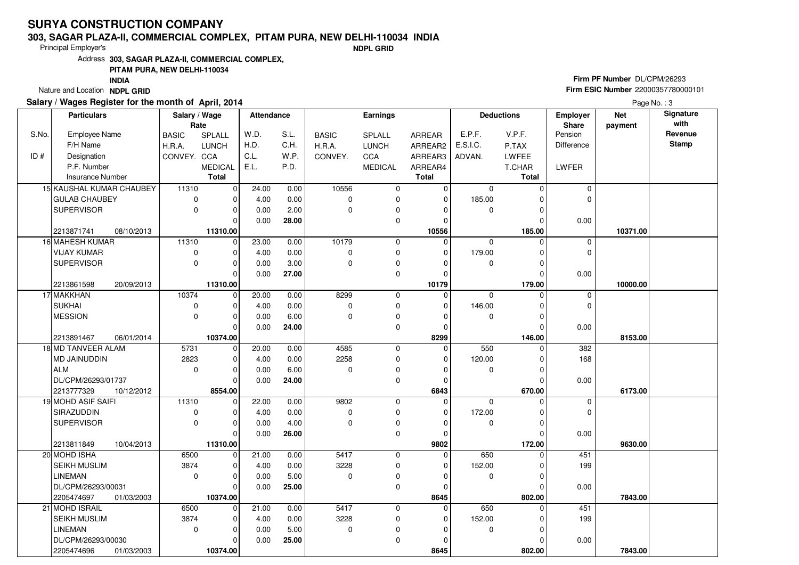#### **303, SAGAR PLAZA-II, COMMERCIAL COMPLEX, PITAM PURA, NEW DELHI-110034 INDIA**

Principal Employer's

**NDPL GRID**

Address**303, SAGAR PLAZA-II, COMMERCIAL COMPLEX,**

#### **PITAM PURA, NEW DELHI-110034**

**INDIA**

Nature and Location **NDPL GRID** 

### **Salary / Wages Register for the month of April, 2014**

# **Firm PF Number** DL/CPM/26293 **Firm ESIC Number** <sup>22000357780000101</sup>

|       | <b>Particulars</b>       | Salary / Wage |                | <b>Attendance</b> |       | <b>Earnings</b> |                |               | <b>Deductions</b> |              | <b>Employer</b> | <b>Net</b> | Signature    |
|-------|--------------------------|---------------|----------------|-------------------|-------|-----------------|----------------|---------------|-------------------|--------------|-----------------|------------|--------------|
|       |                          | Rate          |                |                   |       |                 |                |               |                   |              | <b>Share</b>    | payment    | with         |
| S.No. | Employee Name            | <b>BASIC</b>  | <b>SPLALL</b>  | W.D.              | S.L.  | <b>BASIC</b>    | SPLALL         | <b>ARREAR</b> | E.P.F.            | V.P.F.       | Pension         |            | Revenue      |
|       | F/H Name                 | H.R.A.        | <b>LUNCH</b>   | H.D.              | C.H.  | H.R.A.          | <b>LUNCH</b>   | ARREAR2       | E.S.I.C.          | P.TAX        | Difference      |            | <b>Stamp</b> |
| ID#   | Designation              | CONVEY. CCA   |                | C.L.              | W.P.  | CONVEY.         | CCA            | ARREAR3       | ADVAN.            | <b>LWFEE</b> |                 |            |              |
|       | P.F. Number              |               | <b>MEDICAL</b> | E.L.              | P.D.  |                 | <b>MEDICAL</b> | ARREAR4       |                   | T.CHAR       | LWFER           |            |              |
|       | <b>Insurance Number</b>  |               | Total          |                   |       |                 |                | <b>Total</b>  |                   | Total        |                 |            |              |
|       | 15 KAUSHAL KUMAR CHAUBEY | 11310         | $\mathbf 0$    | 24.00             | 0.00  | 10556           | 0              | 0             | 0                 | $\Omega$     | 0               |            |              |
|       | <b>GULAB CHAUBEY</b>     | $\mathbf 0$   | 0              | 4.00              | 0.00  | 0               | $\mathbf 0$    | $\mathbf 0$   | 185.00            | 0            | 0               |            |              |
|       | <b>SUPERVISOR</b>        | $\Omega$      | $\mathbf 0$    | 0.00              | 2.00  | 0               | 0              | 0             | 0                 | 0            |                 |            |              |
|       |                          |               | $\Omega$       | 0.00              | 28.00 |                 | $\mathbf 0$    | $\mathbf 0$   |                   | $\Omega$     | 0.00            |            |              |
|       | 2213871741<br>08/10/2013 |               | 11310.00       |                   |       |                 |                | 10556         |                   | 185.00       |                 | 10371.00   |              |
|       | 16 MAHESH KUMAR          | 11310         | $\mathbf 0$    | 23.00             | 0.00  | 10179           | $\mathbf 0$    | $\mathbf 0$   | $\mathbf 0$       | $\Omega$     | 0               |            |              |
|       | <b>VIJAY KUMAR</b>       | $\mathbf 0$   | $\mathbf 0$    | 4.00              | 0.00  | 0               | $\mathbf 0$    | $\mathbf 0$   | 179.00            | 0            | $\overline{0}$  |            |              |
|       | <b>SUPERVISOR</b>        | $\mathbf 0$   | 0              | 0.00              | 3.00  | 0               | $\pmb{0}$      | 0             | 0                 | O            |                 |            |              |
|       |                          |               | $\Omega$       | 0.00              | 27.00 |                 | $\mathbf 0$    | $\mathbf 0$   |                   | $\Omega$     | 0.00            |            |              |
|       | 2213861598<br>20/09/2013 |               | 11310.00       |                   |       |                 |                | 10179         |                   | 179.00       |                 | 10000.00   |              |
|       | 17 MAKKHAN               | 10374         | $\mathbf 0$    | 20.00             | 0.00  | 8299            | 0              | $\mathbf 0$   | $\mathbf 0$       | 0            | 0               |            |              |
|       | <b>SUKHAI</b>            | $\mathbf 0$   | $\mathbf 0$    | 4.00              | 0.00  | 0               | $\mathbf 0$    | $\mathbf 0$   | 146.00            | 0            | $\overline{0}$  |            |              |
|       | <b>MESSION</b>           | $\mathbf 0$   | $\mathbf 0$    | 0.00              | 6.00  | 0               | $\pmb{0}$      | 0             | 0                 | $\Omega$     |                 |            |              |
|       |                          |               | 0              | 0.00              | 24.00 |                 | $\mathbf 0$    | 0             |                   | $\Omega$     | 0.00            |            |              |
|       | 2213891467<br>06/01/2014 |               | 10374.00       |                   |       |                 |                | 8299          |                   | 146.00       |                 | 8153.00    |              |
|       | 18 MD TANVEER ALAM       | 5731          | $\mathbf 0$    | 20.00             | 0.00  | 4585            | $\mathbf 0$    | $\mathbf 0$   | 550               | $\Omega$     | 382             |            |              |
|       | <b>MD JAINUDDIN</b>      | 2823          | $\mathbf 0$    | 4.00              | 0.00  | 2258            | 0              | $\mathbf 0$   | 120.00            | O            | 168             |            |              |
|       | <b>ALM</b>               | $\mathbf 0$   | 0              | 0.00              | 6.00  | 0               | $\pmb{0}$      | $\mathbf 0$   | 0                 | $\Omega$     |                 |            |              |
|       | DL/CPM/26293/01737       |               | $\mathbf 0$    | 0.00              | 24.00 |                 | $\mathbf 0$    | $\Omega$      |                   | O            | 0.00            |            |              |
|       | 2213777329<br>10/12/2012 |               | 8554.00        |                   |       |                 |                | 6843          |                   | 670.00       |                 | 6173.00    |              |
|       | 19 MOHD ASIF SAIFI       | 11310         | $\mathbf 0$    | 22.00             | 0.00  | 9802            | $\mathbf 0$    | $\mathbf 0$   | $\Omega$          |              | 0               |            |              |
|       | SIRAZUDDIN               | 0             | $\Omega$       | 4.00              | 0.00  | 0               | 0              | 0             | 172.00            | ŋ            | $\Omega$        |            |              |
|       | <b>SUPERVISOR</b>        | $\mathbf 0$   | 0              | 0.00              | 4.00  | $\mathbf 0$     | $\mathbf 0$    | $\mathbf 0$   | $\mathbf{0}$      | $\Omega$     |                 |            |              |
|       |                          |               | $\mathbf 0$    | 0.00              | 26.00 |                 | 0              | $\mathbf 0$   |                   | O            | 0.00            |            |              |
|       | 2213811849<br>10/04/2013 |               | 11310.00       |                   |       |                 |                | 9802          |                   | 172.00       |                 | 9630.00    |              |
|       | 20 MOHD ISHA             | 6500          | $\mathbf 0$    | 21.00             | 0.00  | 5417            | $\mathbf 0$    | $\mathbf 0$   | 650               | $\Omega$     | 451             |            |              |
|       | SEIKH MUSLIM             | 3874          | $\mathbf 0$    | 4.00              | 0.00  | 3228            | 0              | $\mathbf 0$   | 152.00            | 0            | 199             |            |              |
|       | <b>LINEMAN</b>           | $\mathbf 0$   | 0              | 0.00              | 5.00  | 0               | $\pmb{0}$      | $\mathbf 0$   | $\mathbf{0}$      | $\Omega$     |                 |            |              |
|       | DL/CPM/26293/00031       |               | $\Omega$       | 0.00              | 25.00 |                 | 0              | $\Omega$      |                   | 0            | 0.00            |            |              |
|       | 2205474697<br>01/03/2003 |               | 10374.00       |                   |       |                 |                | 8645          |                   | 802.00       |                 | 7843.00    |              |
|       | 21 MOHD ISRAIL           | 6500          | $\mathbf 0$    | 21.00             | 0.00  | 5417            | $\mathbf 0$    | $\mathbf 0$   | 650               |              | 451             |            |              |
|       | <b>SEIKH MUSLIM</b>      | 3874          | 0              | 4.00              | 0.00  | 3228            | $\pmb{0}$      | 0             | 152.00            | 0            | 199             |            |              |
|       | <b>LINEMAN</b>           | $\mathbf 0$   | 0              | 0.00              | 5.00  | 0               | $\pmb{0}$      | $\mathbf 0$   | $\mathbf 0$       | 0            |                 |            |              |
|       | DL/CPM/26293/00030       |               | 0              | 0.00              | 25.00 |                 | $\mathbf 0$    | 0             |                   |              | 0.00            |            |              |
|       | 2205474696<br>01/03/2003 |               | 10374.00       |                   |       |                 |                | 8645          |                   | 802.00       |                 | 7843.00    |              |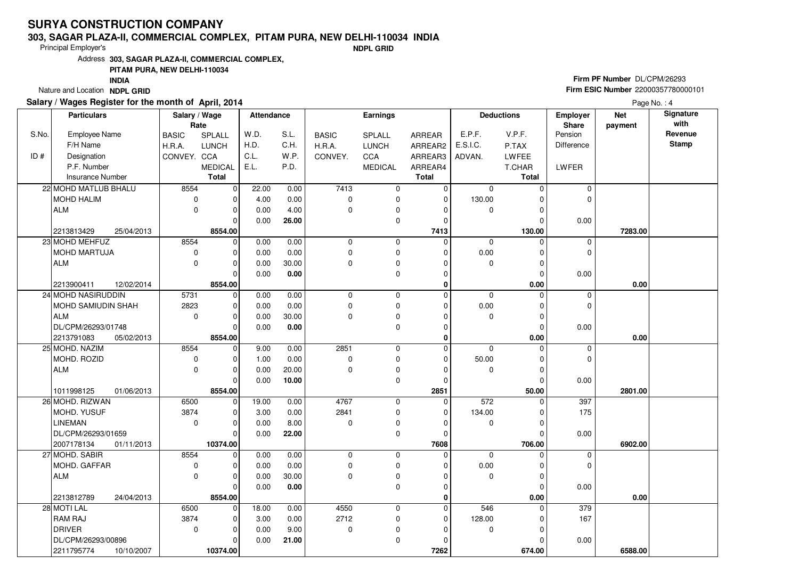#### **303, SAGAR PLAZA-II, COMMERCIAL COMPLEX, PITAM PURA, NEW DELHI-110034 INDIA**

Principal Employer's

**NDPL GRID**

Address**303, SAGAR PLAZA-II, COMMERCIAL COMPLEX,**

### **PITAM PURA, NEW DELHI-110034**

**INDIA**

Nature and Location **NDPL GRID** 

### **Salary / Wages Register for the month of April, 2014**

# **Firm PF Number** DL/CPM/26293 **Firm ESIC Number** <sup>22000357780000101</sup>

|       | <b>Particulars</b>       | Salary / Wage        |                | <b>Attendance</b> |       | Earnings     |                |              | <b>Deductions</b><br>Employer<br>Share |              |             | <b>Net</b> | Signature<br>with |
|-------|--------------------------|----------------------|----------------|-------------------|-------|--------------|----------------|--------------|----------------------------------------|--------------|-------------|------------|-------------------|
| S.No. | Employee Name            | Rate<br><b>BASIC</b> | SPLALL         | W.D.              | S.L.  | <b>BASIC</b> | SPLALL         | ARREAR       | E.P.F.                                 | V.P.F.       | Pension     | payment    | Revenue           |
|       | F/H Name                 | H.R.A.               | LUNCH          | H.D.              | C.H.  | H.R.A.       | <b>LUNCH</b>   | ARREAR2      | E.S.I.C.                               | P.TAX        | Difference  |            | <b>Stamp</b>      |
| ID#   | Designation              | CONVEY. CCA          |                | C.L.              | W.P.  | CONVEY.      | CCA            | ARREAR3      | ADVAN.                                 | <b>LWFEE</b> |             |            |                   |
|       | P.F. Number              |                      | <b>MEDICAL</b> | E.L.              | P.D.  |              | <b>MEDICAL</b> | ARREAR4      |                                        | T.CHAR       | LWFER       |            |                   |
|       | <b>Insurance Number</b>  |                      | <b>Total</b>   |                   |       |              |                | <b>Total</b> |                                        | Total        |             |            |                   |
|       | 22 MOHD MATLUB BHALU     | 8554                 | $\mathbf 0$    | 22.00             | 0.00  | 7413         | $\mathbf 0$    | $\mathbf 0$  | $\mathbf 0$                            | $\Omega$     | 0           |            |                   |
|       | <b>MOHD HALIM</b>        | $\mathbf 0$          | 0              | 4.00              | 0.00  | 0            | $\pmb{0}$      | $\mathbf 0$  | 130.00                                 | $\Omega$     | 0           |            |                   |
|       | <b>ALM</b>               | $\Omega$             | $\overline{0}$ | 0.00              | 4.00  | 0            | $\mathbf 0$    | $\Omega$     | $\mathbf 0$                            | $\Omega$     |             |            |                   |
|       |                          |                      | O              | 0.00              | 26.00 |              | $\mathbf 0$    | $\Omega$     |                                        | $\Omega$     | 0.00        |            |                   |
|       | 2213813429<br>25/04/2013 |                      | 8554.00        |                   |       |              |                | 7413         |                                        | 130.00       |             | 7283.00    |                   |
|       | 23 MOHD MEHFUZ           | 8554                 | $\mathbf 0$    | 0.00              | 0.00  | 0            | $\mathbf 0$    | $\Omega$     | $\mathbf 0$                            | $\Omega$     | $\mathbf 0$ |            |                   |
|       | MOHD MARTUJA             | $\mathbf 0$          | 0              | 0.00              | 0.00  | 0            | $\pmb{0}$      | $\Omega$     | 0.00                                   | $\Omega$     | 0           |            |                   |
|       | <b>ALM</b>               | $\mathbf 0$          | $\overline{0}$ | 0.00              | 30.00 | 0            | $\pmb{0}$      | $\Omega$     | $\Omega$                               | $\Omega$     |             |            |                   |
|       |                          |                      | O              | 0.00              | 0.00  |              | $\mathbf 0$    | $\Omega$     |                                        | $\Omega$     | 0.00        |            |                   |
|       | 2213900411<br>12/02/2014 |                      | 8554.00        |                   |       |              |                | $\mathbf 0$  |                                        | 0.00         |             | 0.00       |                   |
|       | 24 MOHD NASIRUDDIN       | 5731                 | 0              | 0.00              | 0.00  | 0            | $\mathbf 0$    | $\Omega$     | $\mathbf 0$                            | $\Omega$     | 0           |            |                   |
|       | MOHD SAMIUDIN SHAH       | 2823                 | 0              | 0.00              | 0.00  | 0            | $\mathbf 0$    | 0            | 0.00                                   | $\Omega$     | 0           |            |                   |
|       | <b>ALM</b>               | $\mathbf 0$          | 0              | 0.00              | 30.00 | 0            | $\pmb{0}$      | $\Omega$     | $\mathbf 0$                            | $\Omega$     |             |            |                   |
|       | DL/CPM/26293/01748       |                      | $\mathbf 0$    | 0.00              | 0.00  |              | $\mathbf 0$    | $\mathbf 0$  |                                        | $\Omega$     | 0.00        |            |                   |
|       | 2213791083<br>05/02/2013 |                      | 8554.00        |                   |       |              |                | $\mathbf 0$  |                                        | 0.00         |             | 0.00       |                   |
|       | 25 MOHD. NAZIM           | 8554                 | $\Omega$       | 9.00              | 0.00  | 2851         | $\overline{0}$ | $\Omega$     | $\Omega$                               | $\Omega$     | 0           |            |                   |
|       | MOHD. ROZID              | 0                    | 0              | 1.00              | 0.00  | 0            | $\pmb{0}$      | $\Omega$     | 50.00                                  | $\Omega$     | 0           |            |                   |
|       | <b>ALM</b>               | $\mathbf 0$          | 0              | 0.00              | 20.00 | 0            | $\pmb{0}$      | $\Omega$     | 0                                      | $\Omega$     |             |            |                   |
|       |                          |                      | $\Omega$       | 0.00              | 10.00 |              | $\mathbf 0$    | 0            |                                        | $\Omega$     | 0.00        |            |                   |
|       | 1011998125<br>01/06/2013 |                      | 8554.00        |                   |       |              |                | 2851         |                                        | 50.00        |             | 2801.00    |                   |
|       | 26 MOHD. RIZWAN          | 6500                 | $\Omega$       | 19.00             | 0.00  | 4767         | $\mathbf 0$    | $\Omega$     | 572                                    |              | 397         |            |                   |
|       | MOHD. YUSUF              | 3874                 | 0              | 3.00              | 0.00  | 2841         | $\pmb{0}$      | $\Omega$     | 134.00                                 | $\Omega$     | 175         |            |                   |
|       | <b>LINEMAN</b>           | $\mathbf 0$          | $\Omega$       | 0.00              | 8.00  | 0            | $\mathbf 0$    | $\Omega$     | $\mathbf 0$                            | $\Omega$     |             |            |                   |
|       | DL/CPM/26293/01659       |                      | 0              | 0.00              | 22.00 |              | $\pmb{0}$      | $\Omega$     |                                        | $\Omega$     | 0.00        |            |                   |
|       | 2007178134<br>01/11/2013 |                      | 10374.00       |                   |       |              |                | 7608         |                                        | 706.00       |             | 6902.00    |                   |
|       | 27 MOHD. SABIR           | 8554                 | 0              | 0.00              | 0.00  | 0            | $\mathbf 0$    | $\Omega$     | $\mathbf 0$                            | $\Omega$     | 0           |            |                   |
|       | MOHD. GAFFAR             | $\pmb{0}$            | 0              | 0.00              | 0.00  | 0            | $\pmb{0}$      | $\Omega$     | 0.00                                   | 0            | 0           |            |                   |
|       | <b>ALM</b>               | $\Omega$             | 0              | 0.00              | 30.00 | 0            | $\pmb{0}$      | $\Omega$     | $\mathbf 0$                            | $\Omega$     |             |            |                   |
|       |                          |                      | $\mathbf 0$    | 0.00              | 0.00  |              | $\pmb{0}$      | 0            |                                        | $\Omega$     | 0.00        |            |                   |
|       | 2213812789<br>24/04/2013 |                      | 8554.00        |                   |       |              |                | $\mathbf{0}$ |                                        | 0.00         |             | 0.00       |                   |
|       | 28 MOTI LAL              | 6500                 | $\Omega$       | 18.00             | 0.00  | 4550         | $\mathbf 0$    | $\Omega$     | 546                                    | $\Omega$     | 379         |            |                   |
|       | RAM RAJ                  | 3874                 | $\mathbf 0$    | 3.00              | 0.00  | 2712         | $\pmb{0}$      | $\mathbf 0$  | 128.00                                 | $\Omega$     | 167         |            |                   |
|       | <b>DRIVER</b>            | $\mathbf 0$          | $\mathbf 0$    | 0.00              | 9.00  | 0            | $\pmb{0}$      | $\Omega$     | $\mathbf 0$                            | $\Omega$     |             |            |                   |
|       | DL/CPM/26293/00896       |                      | 0              | 0.00              | 21.00 |              | $\mathbf 0$    | 0            |                                        |              | 0.00        |            |                   |
|       | 2211795774<br>10/10/2007 |                      | 10374.00       |                   |       |              |                | 7262         |                                        | 674.00       |             | 6588.00    |                   |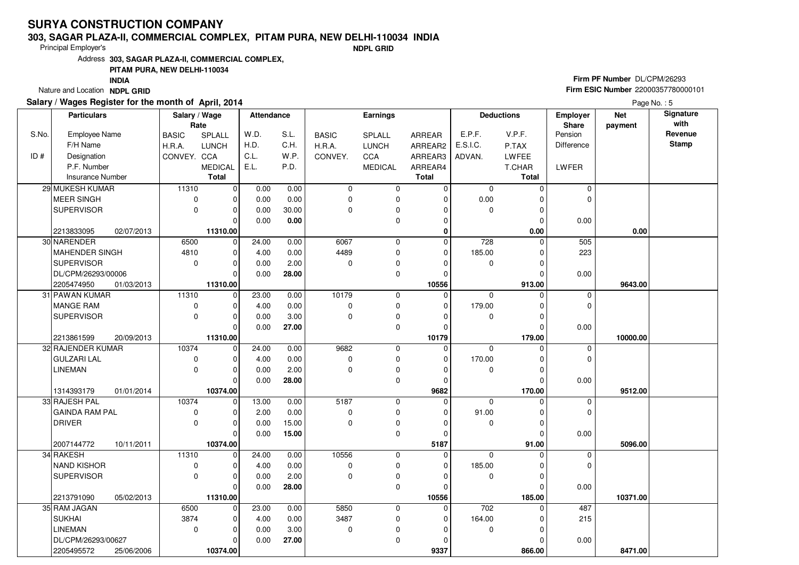#### **303, SAGAR PLAZA-II, COMMERCIAL COMPLEX, PITAM PURA, NEW DELHI-110034 INDIA**

Principal Employer's

**NDPL GRID**

Address**303, SAGAR PLAZA-II, COMMERCIAL COMPLEX,**

#### **PITAM PURA, NEW DELHI-110034**

**INDIA**

Nature and Location **NDPL GRID** 

### **Salary / Wages Register for the month of April, 2014**

# **Firm PF Number** DL/CPM/26293 **Firm ESIC Number** <sup>22000357780000101</sup>

|       | <b>Particulars</b>      |            | Salary / Wage |                | Attendance |       | <b>Earnings</b> |                |              | <b>Deductions</b> |          | <b>Employer</b> | <b>Net</b> | Signature    |
|-------|-------------------------|------------|---------------|----------------|------------|-------|-----------------|----------------|--------------|-------------------|----------|-----------------|------------|--------------|
|       |                         |            | Rate          |                |            |       |                 |                |              |                   |          | Share           | payment    | with         |
| S.No. | Employee Name           |            | <b>BASIC</b>  | SPLALL         | W.D.       | S.L.  | <b>BASIC</b>    | SPLALL         | ARREAR       | E.P.F.            | V.P.F.   | Pension         |            | Revenue      |
|       | F/H Name                |            | H.R.A.        | <b>LUNCH</b>   | H.D.       | C.H.  | H.R.A.          | <b>LUNCH</b>   | ARREAR2      | E.S.I.C.          | P.TAX    | Difference      |            | <b>Stamp</b> |
| ID#   | Designation             |            | CONVEY. CCA   |                | C.L.       | W.P.  | CONVEY.         | CCA            | ARREAR3      | ADVAN.            | LWFEE    |                 |            |              |
|       | P.F. Number             |            |               | <b>MEDICAL</b> | E.L.       | P.D.  |                 | <b>MEDICAL</b> | ARREAR4      |                   | T.CHAR   | LWFER           |            |              |
|       | <b>Insurance Number</b> |            |               | <b>Total</b>   |            |       |                 |                | <b>Total</b> |                   | Total    |                 |            |              |
|       | 29 MUKESH KUMAR         |            | 11310         | $\mathbf 0$    | 0.00       | 0.00  | 0               | 0              | $\mathbf 0$  | 0                 | $\Omega$ | 0               |            |              |
|       | <b>MEER SINGH</b>       |            | $\mathbf 0$   | $\mathbf 0$    | 0.00       | 0.00  | 0               | $\mathbf 0$    | 0            | 0.00              | 0        | $\overline{0}$  |            |              |
|       | <b>SUPERVISOR</b>       |            | $\mathbf 0$   | 0              | 0.00       | 30.00 | 0               | $\pmb{0}$      | 0            | 0                 | 0        |                 |            |              |
|       |                         |            |               | $\Omega$       | 0.00       | 0.00  |                 | $\mathbf 0$    | $\mathbf 0$  |                   | $\Omega$ | 0.00            |            |              |
|       | 2213833095              | 02/07/2013 |               | 11310.00       |            |       |                 |                | $\mathbf 0$  |                   | 0.00     |                 | 0.00       |              |
|       | 30 NARENDER             |            | 6500          | $\mathbf 0$    | 24.00      | 0.00  | 6067            | $\mathbf 0$    | $\mathbf{0}$ | 728               | $\Omega$ | 505             |            |              |
|       | MAHENDER SINGH          |            | 4810          | $\mathbf 0$    | 4.00       | 0.00  | 4489            | 0              | $\mathbf 0$  | 185.00            | O        | 223             |            |              |
|       | <b>SUPERVISOR</b>       |            | $\mathbf 0$   | 0              | 0.00       | 2.00  | 0               | $\mathbf 0$    | 0            | 0                 | 0        |                 |            |              |
|       | DL/CPM/26293/00006      |            |               | $\Omega$       | 0.00       | 28.00 |                 | 0              | $\mathbf 0$  |                   | 0        | 0.00            |            |              |
|       | 2205474950              | 01/03/2013 |               | 11310.00       |            |       |                 |                | 10556        |                   | 913.00   |                 | 9643.00    |              |
|       | 31 PAWAN KUMAR          |            | 11310         | $\mathbf 0$    | 23.00      | 0.00  | 10179           | $\mathbf 0$    | $\mathbf{0}$ | $\Omega$          | 0        | $\mathbf 0$     |            |              |
|       | <b>MANGE RAM</b>        |            | 0             | 0              | 4.00       | 0.00  | 0               | $\pmb{0}$      | 0            | 179.00            | 0        | 0               |            |              |
|       | <b>SUPERVISOR</b>       |            | $\mathbf 0$   | $\mathbf 0$    | 0.00       | 3.00  | $\mathbf 0$     | $\mathbf 0$    | 0            | $\mathbf 0$       | $\Omega$ |                 |            |              |
|       |                         |            |               | $\Omega$       | 0.00       | 27.00 |                 | $\mathbf 0$    | 0            |                   | $\Omega$ | 0.00            |            |              |
|       | 2213861599              | 20/09/2013 |               | 11310.00       |            |       |                 |                | 10179        |                   | 179.00   |                 | 10000.00   |              |
|       | 32 RAJENDER KUMAR       |            | 10374         | $\mathbf 0$    | 24.00      | 0.00  | 9682            | 0              | $\mathbf 0$  | $\mathbf 0$       | O        | 0               |            |              |
|       | <b>GULZARI LAL</b>      |            | $\mathbf 0$   | $\mathbf 0$    | 4.00       | 0.00  | 0               | 0              | 0            | 170.00            | 0        | 0               |            |              |
|       | <b>LINEMAN</b>          |            | $\Omega$      | $\mathbf 0$    | 0.00       | 2.00  | 0               | $\mathbf 0$    | $\mathbf 0$  | 0                 | $\Omega$ |                 |            |              |
|       |                         |            |               | $\Omega$       | 0.00       | 28.00 |                 | $\mathbf 0$    | $\mathbf 0$  |                   | 0        | 0.00            |            |              |
|       | 1314393179              | 01/01/2014 |               | 10374.00       |            |       |                 |                | 9682         |                   | 170.00   |                 | 9512.00    |              |
|       | 33 RAJESH PAL           |            | 10374         | $\mathbf 0$    | 13.00      | 0.00  | 5187            | 0              | $\mathbf 0$  | $\mathbf 0$       |          | 0               |            |              |
|       | <b>GAINDA RAM PAL</b>   |            | $\mathbf 0$   | $\mathbf 0$    | 2.00       | 0.00  | 0               | $\mathbf 0$    | $\mathbf 0$  | 91.00             | 0        | $\overline{0}$  |            |              |
|       | <b>DRIVER</b>           |            | $\mathbf 0$   | 0              | 0.00       | 15.00 | $\mathbf 0$     | $\pmb{0}$      | 0            | $\mathbf{0}$      | $\Omega$ |                 |            |              |
|       |                         |            |               | $\mathbf 0$    | 0.00       | 15.00 |                 | 0              | $\mathbf 0$  |                   | $\Omega$ | 0.00            |            |              |
|       | 2007144772              | 10/11/2011 |               | 10374.00       |            |       |                 |                | 5187         |                   | 91.00    |                 | 5096.00    |              |
|       | 34 RAKESH               |            | 11310         | $\mathbf 0$    | 24.00      | 0.00  | 10556           | $\mathbf 0$    | $\mathbf 0$  | $\mathbf 0$       |          | 0               |            |              |
|       | <b>NAND KISHOR</b>      |            | 0             | $\mathbf 0$    | 4.00       | 0.00  | 0               | 0              | $\Omega$     | 185.00            | $\Omega$ | $\overline{0}$  |            |              |
|       | <b>SUPERVISOR</b>       |            | $\mathbf 0$   | 0              | 0.00       | 2.00  | $\mathbf 0$     | $\pmb{0}$      | $\mathbf 0$  | $\mathbf 0$       | 0        |                 |            |              |
|       |                         |            |               | $\Omega$       | 0.00       | 28.00 |                 | $\mathbf 0$    | $\Omega$     |                   | 0        | 0.00            |            |              |
|       | 2213791090              | 05/02/2013 |               | 11310.00       |            |       |                 |                | 10556        |                   | 185.00   |                 | 10371.00   |              |
|       | 35 RAM JAGAN            |            | 6500          | $\mathbf 0$    | 23.00      | 0.00  | 5850            | $\mathbf 0$    | $\mathbf 0$  | 702               | U        | 487             |            |              |
|       | <b>SUKHAI</b>           |            | 3874          | 0              | 4.00       | 0.00  | 3487            | 0              | 0            | 164.00            | 0        | 215             |            |              |
|       | <b>LINEMAN</b>          |            | $\mathbf 0$   | 0              | 0.00       | 3.00  | 0               | $\pmb{0}$      | $\mathbf 0$  | $\mathbf 0$       | 0        |                 |            |              |
|       | DL/CPM/26293/00627      |            |               | 0              | 0.00       | 27.00 |                 | $\mathbf 0$    | $\Omega$     |                   |          | 0.00            |            |              |
|       | 2205495572              | 25/06/2006 |               | 10374.00       |            |       |                 |                | 9337         |                   | 866.00   |                 | 8471.00    |              |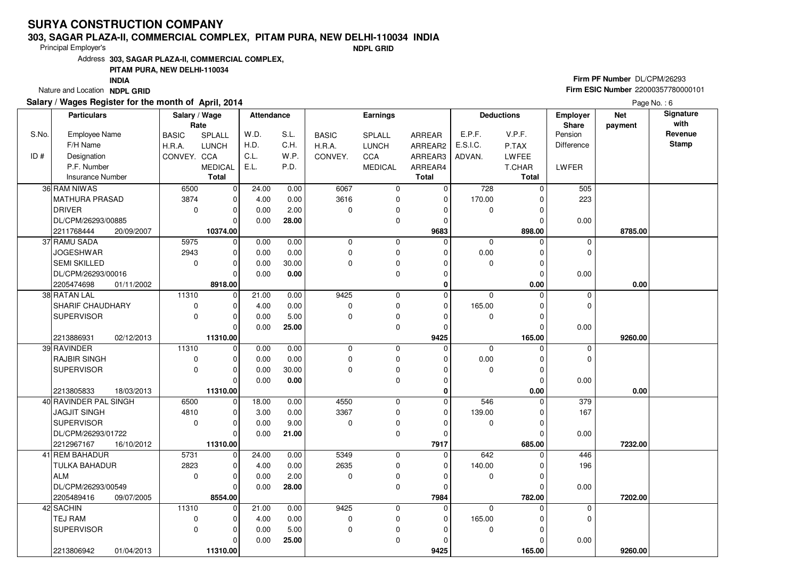#### **303, SAGAR PLAZA-II, COMMERCIAL COMPLEX, PITAM PURA, NEW DELHI-110034 INDIA**

Principal Employer's

**NDPL GRID**

Address**303, SAGAR PLAZA-II, COMMERCIAL COMPLEX,**

#### **PITAM PURA, NEW DELHI-110034**

**INDIA**

Nature and Location **NDPL GRID** 

### **Salary / Wages Register for the month of April, 2014**

# **Firm PF Number** DL/CPM/26293 **Firm ESIC Number** <sup>22000357780000101</sup>

|       | <b>Particulars</b>       | Salary / Wage<br>Rate |                | Attendance |       | <b>Earnings</b> |              |              | <b>Deductions</b><br><b>Employer</b><br><b>Share</b> |              |             | <b>Net</b><br>payment | Signature<br>with |
|-------|--------------------------|-----------------------|----------------|------------|-------|-----------------|--------------|--------------|------------------------------------------------------|--------------|-------------|-----------------------|-------------------|
| S.No. | <b>Employee Name</b>     | <b>BASIC</b>          | SPLALL         | W.D.       | S.L.  | <b>BASIC</b>    | SPLALL       | ARREAR       | E.P.F.                                               | V.P.F.       | Pension     |                       | Revenue           |
|       | F/H Name                 | H.R.A.                | <b>LUNCH</b>   | H.D.       | C.H.  | H.R.A.          | <b>LUNCH</b> | ARREAR2      | E.S.I.C.                                             | P.TAX        | Difference  |                       | <b>Stamp</b>      |
| ID#   | Designation              | CONVEY. CCA           |                | C.L.       | W.P.  | CONVEY.         | CCA          | ARREAR3      | ADVAN.                                               | <b>LWFEE</b> |             |                       |                   |
|       | P.F. Number              |                       | <b>MEDICAL</b> | E.L.       | P.D.  |                 | MEDICAL      | ARREAR4      |                                                      | T.CHAR       | LWFER       |                       |                   |
|       | <b>Insurance Number</b>  |                       | <b>Total</b>   |            |       |                 |              | <b>Total</b> |                                                      | Total        |             |                       |                   |
|       | 36 RAM NIWAS             | 6500                  | $\mathbf 0$    | 24.00      | 0.00  | 6067            | 0            | 0            | 728                                                  | $\Omega$     | 505         |                       |                   |
|       | <b>MATHURA PRASAD</b>    | 3874                  | $\mathbf 0$    | 4.00       | 0.00  | 3616            | 0            | $\mathbf 0$  | 170.00                                               | O            | 223         |                       |                   |
|       | <b>DRIVER</b>            | $\mathbf 0$           | $\mathbf 0$    | 0.00       | 2.00  | $\Omega$        | 0            | $\Omega$     | 0                                                    | $\Omega$     |             |                       |                   |
|       | DL/CPM/26293/00885       |                       | $\mathbf 0$    | 0.00       | 28.00 |                 | 0            | $\mathbf 0$  |                                                      | $\Omega$     | 0.00        |                       |                   |
|       | 2211768444<br>20/09/2007 |                       | 10374.00       |            |       |                 |              | 9683         |                                                      | 898.00       |             | 8785.00               |                   |
|       | 37 RAMU SADA             | 5975                  | 0              | 0.00       | 0.00  | $\mathbf 0$     | 0            | $\mathbf 0$  | $\mathbf 0$                                          | $\Omega$     | $\mathbf 0$ |                       |                   |
|       | <b>JOGESHWAR</b>         | 2943                  | $\mathbf 0$    | 0.00       | 0.00  | 0               | $\mathbf 0$  | $\Omega$     | 0.00                                                 | $\Omega$     | $\mathbf 0$ |                       |                   |
|       | <b>SEMI SKILLED</b>      | 0                     | $\mathbf 0$    | 0.00       | 30.00 | 0               | 0            | $\Omega$     | $\mathbf 0$                                          | C            |             |                       |                   |
|       | DL/CPM/26293/00016       |                       | $\mathbf 0$    | 0.00       | 0.00  |                 | 0            | $\Omega$     |                                                      | $\Omega$     | 0.00        |                       |                   |
|       | 2205474698<br>01/11/2002 |                       | 8918.00        |            |       |                 |              | 0            |                                                      | 0.00         |             | 0.00                  |                   |
|       | 38 RATAN LAL             | 11310                 | $\mathbf 0$    | 21.00      | 0.00  | 9425            | $\mathbf 0$  | $\mathbf 0$  | $\mathbf 0$                                          | $\Omega$     | $\mathbf 0$ |                       |                   |
|       | SHARIF CHAUDHARY         | 0                     | $\mathbf 0$    | 4.00       | 0.00  | 0               | 0            | $\mathbf 0$  | 165.00                                               | $\Omega$     | $\Omega$    |                       |                   |
|       | <b>SUPERVISOR</b>        | $\mathbf 0$           | $\mathbf 0$    | 0.00       | 5.00  | $\mathbf 0$     | 0            | $\mathbf 0$  | 0                                                    | $\Omega$     |             |                       |                   |
|       |                          |                       | $\overline{0}$ | 0.00       | 25.00 |                 | $\mathbf 0$  | $\Omega$     |                                                      | $\Omega$     | 0.00        |                       |                   |
|       | 2213886931<br>02/12/2013 |                       | 11310.00       |            |       |                 |              | 9425         |                                                      | 165.00       |             | 9260.00               |                   |
|       | 39 RAVINDER              | 11310                 | $\mathbf 0$    | 0.00       | 0.00  | 0               | 0            | $\Omega$     | $\mathbf 0$                                          | $\Omega$     | $\mathbf 0$ |                       |                   |
|       | <b>RAJBIR SINGH</b>      | 0                     | $\mathbf 0$    | 0.00       | 0.00  | 0               | 0            | $\Omega$     | 0.00                                                 | $\Omega$     | $\mathbf 0$ |                       |                   |
|       | <b>SUPERVISOR</b>        | $\mathbf 0$           | $\mathbf 0$    | 0.00       | 30.00 | 0               | 0            | $\Omega$     | 0                                                    | $\Omega$     |             |                       |                   |
|       |                          |                       | $\Omega$       | 0.00       | 0.00  |                 | $\mathbf 0$  | $\Omega$     |                                                      | $\Omega$     | 0.00        |                       |                   |
|       | 2213805833<br>18/03/2013 |                       | 11310.00       |            |       |                 |              | $\mathbf 0$  |                                                      | 0.00         |             | 0.00                  |                   |
|       | 40 RAVINDER PAL SINGH    | 6500                  | $\mathbf 0$    | 18.00      | 0.00  | 4550            | $\mathbf 0$  | $\mathbf 0$  | 546                                                  | $\Omega$     | 379         |                       |                   |
|       | JAGJIT SINGH             | 4810                  | $\mathbf 0$    | 3.00       | 0.00  | 3367            | 0            | $\Omega$     | 139.00                                               | ſ            | 167         |                       |                   |
|       | <b>SUPERVISOR</b>        | $\mathbf 0$           | $\mathbf 0$    | 0.00       | 9.00  | 0               | 0            | $\Omega$     | $\mathbf 0$                                          | $\Omega$     |             |                       |                   |
|       | DL/CPM/26293/01722       |                       | $\mathbf 0$    | 0.00       | 21.00 |                 | $\mathbf 0$  | $\Omega$     |                                                      | $\Omega$     | 0.00        |                       |                   |
|       | 2212967167<br>16/10/2012 |                       | 11310.00       |            |       |                 |              | 7917         |                                                      | 685.00       |             | 7232.00               |                   |
|       | 41 REM BAHADUR           | 5731                  | $\mathbf 0$    | 24.00      | 0.00  | 5349            | $\mathbf 0$  | $\mathbf 0$  | 642                                                  | $\Omega$     | 446         |                       |                   |
|       | TULKA BAHADUR            | 2823                  | $\mathbf 0$    | 4.00       | 0.00  | 2635            | 0            | $\mathbf 0$  | 140.00                                               | $\Omega$     | 196         |                       |                   |
|       | <b>ALM</b>               | $\mathbf 0$           | $\mathbf 0$    | 0.00       | 2.00  | 0               | 0            | $\Omega$     | 0                                                    | $\Omega$     |             |                       |                   |
|       | DL/CPM/26293/00549       |                       | $\Omega$       | 0.00       | 28.00 |                 | 0            | $\Omega$     |                                                      | $\Omega$     | 0.00        |                       |                   |
|       | 2205489416<br>09/07/2005 |                       | 8554.00        |            |       |                 |              | 7984         |                                                      | 782.00       |             | 7202.00               |                   |
|       | 42 SACHIN                | 11310                 | $\mathbf 0$    | 21.00      | 0.00  | 9425            | $\mathbf 0$  | $\mathbf 0$  | $\Omega$                                             |              | 0           |                       |                   |
|       | <b>TEJ RAM</b>           | 0                     | $\mathbf 0$    | 4.00       | 0.00  | 0               | 0            | $\Omega$     | 165.00                                               |              | $\mathbf 0$ |                       |                   |
|       | <b>SUPERVISOR</b>        | $\Omega$              | $\mathbf 0$    | 0.00       | 5.00  | $\mathbf 0$     | 0            | $\Omega$     | $\mathbf 0$                                          | $\Omega$     |             |                       |                   |
|       |                          |                       | $\mathbf 0$    | 0.00       | 25.00 |                 | 0            | $\Omega$     |                                                      | 0            | 0.00        |                       |                   |
|       | 2213806942<br>01/04/2013 |                       | 11310.00       |            |       |                 |              | 9425         |                                                      | 165.00       |             | 9260.00               |                   |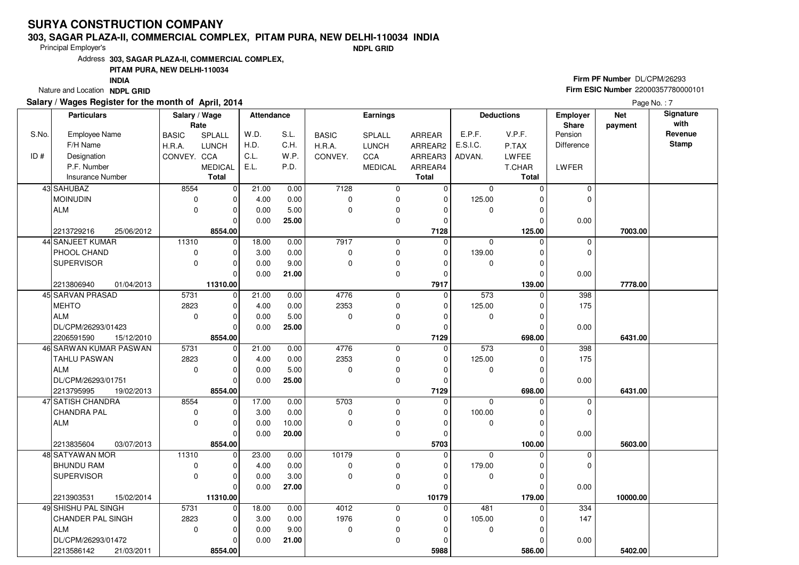#### **303, SAGAR PLAZA-II, COMMERCIAL COMPLEX, PITAM PURA, NEW DELHI-110034 INDIA**

Principal Employer's

**NDPL GRID**

Address**303, SAGAR PLAZA-II, COMMERCIAL COMPLEX,**

### **PITAM PURA, NEW DELHI-110034**

**INDIA**

Nature and Location **NDPL GRID** 

### **Salary / Wages Register for the month of April, 2014**

# **Firm PF Number** DL/CPM/26293 **Firm ESIC Number** <sup>22000357780000101</sup>

|       | <b>Particulars</b>       | Salary / Wage |                | <b>Attendance</b> |       |              | Earnings       |               |             | <b>Deductions</b> | Employer       | <b>Net</b> | Signature |
|-------|--------------------------|---------------|----------------|-------------------|-------|--------------|----------------|---------------|-------------|-------------------|----------------|------------|-----------|
|       |                          | Rate          |                |                   |       |              |                |               |             |                   | Share          | payment    | with      |
| S.No. | Employee Name            | <b>BASIC</b>  | <b>SPLALL</b>  | W.D.              | S.L.  | <b>BASIC</b> | <b>SPLALL</b>  | <b>ARREAR</b> | E.P.F.      | V.P.F.            | Pension        |            | Revenue   |
|       | F/H Name                 | H.R.A.        | <b>LUNCH</b>   | H.D.              | C.H.  | H.R.A.       | <b>LUNCH</b>   | ARREAR2       | E.S.I.C.    | P.TAX             | Difference     |            | Stamp     |
| ID#   | Designation              | CONVEY. CCA   |                | C.L.              | W.P.  | CONVEY.      | CCA            | ARREAR3       | ADVAN.      | LWFEE             |                |            |           |
|       | P.F. Number              |               | <b>MEDICAL</b> | E.L.              | P.D.  |              | <b>MEDICAL</b> | ARREAR4       |             | T.CHAR            | LWFER          |            |           |
|       | <b>Insurance Number</b>  |               | Total          |                   |       |              |                | <b>Total</b>  |             | Total             |                |            |           |
|       | 43 SAHUBAZ               | 8554          | $\mathbf 0$    | 21.00             | 0.00  | 7128         | 0              | 0             | 0           | $\Omega$          | 0              |            |           |
|       | <b>MOINUDIN</b>          | $\mathbf 0$   | 0              | 4.00              | 0.00  | 0            | $\mathbf 0$    | $\mathbf 0$   | 125.00      | $\Omega$          | $\Omega$       |            |           |
|       | <b>ALM</b>               | $\mathbf 0$   | 0              | 0.00              | 5.00  | 0            | $\mathbf 0$    | $\Omega$      | 0           | $\Omega$          |                |            |           |
|       |                          |               | O              | 0.00              | 25.00 |              | $\mathbf 0$    | 0             |             | $\Omega$          | 0.00           |            |           |
|       | 2213729216<br>25/06/2012 |               | 8554.00        |                   |       |              |                | 7128          |             | 125.00            |                | 7003.00    |           |
|       | 44 SANJEET KUMAR         | 11310         | $\Omega$       | 18.00             | 0.00  | 7917         | $\mathbf 0$    | $\Omega$      | $\mathbf 0$ | $\Omega$          | 0              |            |           |
|       | PHOOL CHAND              | 0             | 0              | 3.00              | 0.00  | 0            | $\mathbf 0$    | 0             | 139.00      | 0                 | 0              |            |           |
|       | <b>SUPERVISOR</b>        | $\mathbf 0$   | 0              | 0.00              | 9.00  | 0            | $\mathbf 0$    | $\Omega$      | 0           | $\Omega$          |                |            |           |
|       |                          |               | $\Omega$       | 0.00              | 21.00 |              | $\mathbf 0$    | $\Omega$      |             | $\Omega$          | 0.00           |            |           |
|       | 2213806940<br>01/04/2013 |               | 11310.00       |                   |       |              |                | 7917          |             | 139.00            |                | 7778.00    |           |
|       | 45 SARVAN PRASAD         | 5731          | $\mathbf 0$    | 21.00             | 0.00  | 4776         | $\mathbf 0$    | $\mathbf 0$   | 573         | $\Omega$          | 398            |            |           |
|       | <b>MEHTO</b>             | 2823          | 0              | 4.00              | 0.00  | 2353         | $\pmb{0}$      | $\mathbf 0$   | 125.00      | 0                 | 175            |            |           |
|       | <b>ALM</b>               | $\mathbf 0$   | 0              | 0.00              | 5.00  | 0            | $\mathbf 0$    | $\Omega$      | 0           | $\Omega$          |                |            |           |
|       | DL/CPM/26293/01423       |               | $\Omega$       | 0.00              | 25.00 |              | $\mathbf 0$    | $\mathbf 0$   |             | $\Omega$          | 0.00           |            |           |
|       | 15/12/2010<br>2206591590 |               | 8554.00        |                   |       |              |                | 7129          |             | 698.00            |                | 6431.00    |           |
|       | 46 SARWAN KUMAR PASWAN   | 5731          | $\mathbf 0$    | 21.00             | 0.00  | 4776         | $\mathbf 0$    | $\Omega$      | 573         | $\Omega$          | 398            |            |           |
|       | TAHLU PASWAN             | 2823          | 0              | 4.00              | 0.00  | 2353         | $\mathbf 0$    | $\mathbf 0$   | 125.00      | $\Omega$          | 175            |            |           |
|       | <b>ALM</b>               | $\mathbf 0$   | 0              | 0.00              | 5.00  | 0            | $\pmb{0}$      | $\Omega$      | 0           | $\Omega$          |                |            |           |
|       | DL/CPM/26293/01751       |               | O              | 0.00              | 25.00 |              | $\mathbf 0$    | $\Omega$      |             | $\Omega$          | 0.00           |            |           |
|       | 2213795995<br>19/02/2013 |               | 8554.00        |                   |       |              |                | 7129          |             | 698.00            |                | 6431.00    |           |
|       | 47 SATISH CHANDRA        | 8554          | $\mathbf 0$    | 17.00             | 0.00  | 5703         | $\mathbf 0$    | $\mathbf 0$   | $\Omega$    | $\Omega$          | 0              |            |           |
|       | <b>CHANDRA PAL</b>       | $\mathbf 0$   | 0              | 3.00              | 0.00  | 0            | $\mathbf 0$    | $\Omega$      | 100.00      | $\Omega$          | $\overline{0}$ |            |           |
|       | <b>ALM</b>               | $\mathbf 0$   | 0              | 0.00              | 10.00 | 0            | $\mathbf 0$    | 0             | 0           | $\Omega$          |                |            |           |
|       |                          |               | $\Omega$       | 0.00              | 20.00 |              | $\mathbf 0$    | $\Omega$      |             | $\Omega$          | 0.00           |            |           |
|       | 2213835604<br>03/07/2013 |               | 8554.00        |                   |       |              |                | 5703          |             | 100.00            |                | 5603.00    |           |
|       | 48 SATYAWAN MOR          | 11310         | $\mathbf 0$    | 23.00             | 0.00  | 10179        | $\mathbf 0$    | $\Omega$      | $\Omega$    | $\Omega$          | 0              |            |           |
|       | <b>BHUNDU RAM</b>        | 0             | 0              | 4.00              | 0.00  | 0            | $\mathbf 0$    | $\mathbf 0$   | 179.00      | $\Omega$          | 0              |            |           |
|       | <b>SUPERVISOR</b>        | $\mathbf 0$   | 0              | 0.00              | 3.00  | 0            | $\pmb{0}$      | $\Omega$      | $\mathbf 0$ | $\Omega$          |                |            |           |
|       |                          |               | O              | 0.00              | 27.00 |              | $\mathbf 0$    | $\Omega$      |             |                   | 0.00           |            |           |
|       | 2213903531<br>15/02/2014 |               | 11310.00       |                   |       |              |                | 10179         |             | 179.00            |                | 10000.00   |           |
|       | 49 SHISHU PAL SINGH      | 5731          | $\mathbf 0$    | 18.00             | 0.00  | 4012         | $\mathbf 0$    | $\mathbf{0}$  | 481         |                   | 334            |            |           |
|       | <b>CHANDER PAL SINGH</b> | 2823          | 0              | 3.00              | 0.00  | 1976         | $\mathbf 0$    | $\Omega$      | 105.00      | $\Omega$          | 147            |            |           |
|       | <b>ALM</b>               | $\mathbf 0$   | 0              | 0.00              | 9.00  | 0            | $\mathbf 0$    | 0             | 0           | $\Omega$          |                |            |           |
|       | DL/CPM/26293/01472       |               | $\Omega$       | 0.00              | 21.00 |              | $\mathbf 0$    | 0             |             |                   | 0.00           |            |           |
|       | 2213586142<br>21/03/2011 |               | 8554.00        |                   |       |              |                | 5988          |             | 586.00            |                | 5402.00    |           |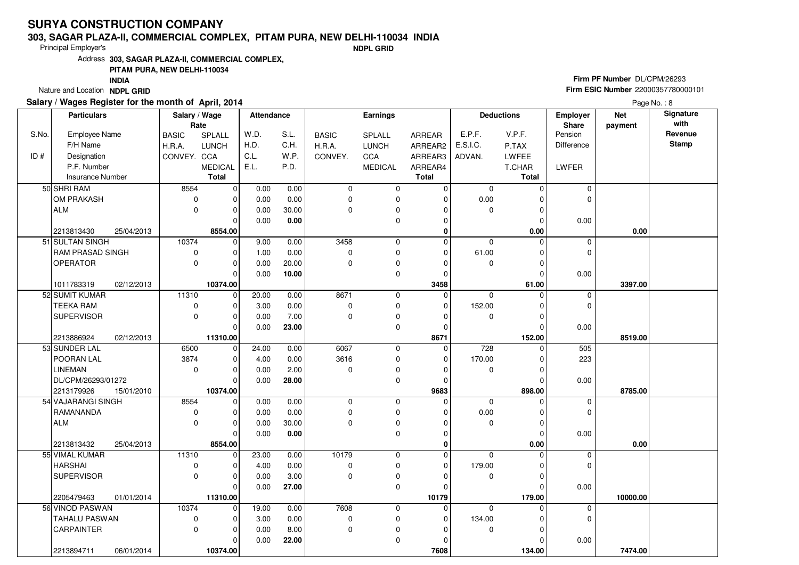#### **303, SAGAR PLAZA-II, COMMERCIAL COMPLEX, PITAM PURA, NEW DELHI-110034 INDIA**

Principal Employer's

**NDPL GRID**

Address**303, SAGAR PLAZA-II, COMMERCIAL COMPLEX,**

#### **PITAM PURA, NEW DELHI-110034**

**INDIA**

Nature and Location **NDPL GRID** 

### **Salary / Wages Register for the month of April, 2014**

# **Firm PF Number** DL/CPM/26293 **Firm ESIC Number** <sup>22000357780000101</sup>

|       | <b>Particulars</b>      |            | Salary / Wage<br>Rate |                | <b>Attendance</b> |       | Earnings     |                |              | <b>Deductions</b><br>Employer<br>Share |          |            | <b>Net</b> | Signature<br>with |
|-------|-------------------------|------------|-----------------------|----------------|-------------------|-------|--------------|----------------|--------------|----------------------------------------|----------|------------|------------|-------------------|
| S.No. | Employee Name           |            | <b>BASIC</b>          | SPLALL         | W.D.              | S.L.  | <b>BASIC</b> | SPLALL         | ARREAR       | E.P.F.                                 | V.P.F.   | Pension    | payment    | Revenue           |
|       | F/H Name                |            | H.R.A.                | LUNCH          | H.D.              | C.H.  | H.R.A.       | <b>LUNCH</b>   | ARREAR2      | E.S.I.C.                               | P.TAX    | Difference |            | <b>Stamp</b>      |
| ID#   | Designation             |            | CONVEY. CCA           |                | C.L.              | W.P.  | CONVEY.      | CCA            | ARREAR3      | ADVAN.                                 | LWFEE    |            |            |                   |
|       | P.F. Number             |            |                       | <b>MEDICAL</b> | E.L.              | P.D.  |              | <b>MEDICAL</b> | ARREAR4      |                                        | T.CHAR   | LWFER      |            |                   |
|       | <b>Insurance Number</b> |            |                       | <b>Total</b>   |                   |       |              |                | <b>Total</b> |                                        | Total    |            |            |                   |
|       | 50 SHRI RAM             |            | 8554                  | $\mathbf 0$    | 0.00              | 0.00  | 0            | $\mathbf 0$    | 0            | $\mathbf 0$                            | $\Omega$ | 0          |            |                   |
|       | OM PRAKASH              |            | $\mathbf 0$           | 0              | 0.00              | 0.00  | 0            | $\pmb{0}$      | 0            | 0.00                                   | $\Omega$ | 0          |            |                   |
|       | <b>ALM</b>              |            | $\mathbf 0$           | $\overline{0}$ | 0.00              | 30.00 | 0            | $\pmb{0}$      | $\Omega$     | $\mathbf 0$                            | $\Omega$ |            |            |                   |
|       |                         |            |                       | O              | 0.00              | 0.00  |              | $\mathbf 0$    | $\Omega$     |                                        | $\Omega$ | 0.00       |            |                   |
|       | 2213813430              | 25/04/2013 |                       | 8554.00        |                   |       |              |                | $\mathbf 0$  |                                        | 0.00     |            | 0.00       |                   |
|       | 51 SULTAN SINGH         |            | 10374                 | $\mathbf 0$    | 9.00              | 0.00  | 3458         | $\mathbf 0$    | $\Omega$     | $\mathbf 0$                            | $\Omega$ | 0          |            |                   |
|       | RAM PRASAD SINGH        |            | $\mathbf 0$           | 0              | 1.00              | 0.00  | 0            | $\pmb{0}$      | $\mathbf{0}$ | 61.00                                  | $\Omega$ | 0          |            |                   |
|       | <b>OPERATOR</b>         |            | $\mathbf 0$           | $\overline{0}$ | 0.00              | 20.00 | 0            | $\pmb{0}$      | $\Omega$     | $\mathbf 0$                            | $\Omega$ |            |            |                   |
|       |                         |            |                       | O              | 0.00              | 10.00 |              | $\pmb{0}$      | $\Omega$     |                                        | $\Omega$ | 0.00       |            |                   |
|       | 1011783319              | 02/12/2013 |                       | 10374.00       |                   |       |              |                | 3458         |                                        | 61.00    |            | 3397.00    |                   |
|       | 52 SUMIT KUMAR          |            | 11310                 | $\mathbf 0$    | 20.00             | 0.00  | 8671         | $\mathbf 0$    | $\mathbf 0$  | $\mathbf 0$                            | $\Omega$ | 0          |            |                   |
|       | <b>TEEKA RAM</b>        |            | $\mathbf 0$           | 0              | 3.00              | 0.00  | $\pmb{0}$    | $\mathbf 0$    | $\mathbf{0}$ | 152.00                                 |          | 0          |            |                   |
|       | <b>SUPERVISOR</b>       |            | $\mathbf 0$           | 0              | 0.00              | 7.00  | 0            | $\pmb{0}$      | $\Omega$     | $\mathbf 0$                            | $\Omega$ |            |            |                   |
|       |                         |            |                       | 0              | 0.00              | 23.00 |              | $\pmb{0}$      | $\mathbf{0}$ |                                        |          | 0.00       |            |                   |
|       | 2213886924              | 02/12/2013 |                       | 11310.00       |                   |       |              |                | 8671         |                                        | 152.00   |            | 8519.00    |                   |
|       | 53 SUNDER LAL           |            | 6500                  | $\mathbf 0$    | 24.00             | 0.00  | 6067         | $\mathbf 0$    | $\mathbf{0}$ | 728                                    | $\Omega$ | 505        |            |                   |
|       | POORAN LAL              |            | 3874                  | 0              | 4.00              | 0.00  | 3616         | $\pmb{0}$      | $\Omega$     | 170.00                                 | $\Omega$ | 223        |            |                   |
|       | <b>LINEMAN</b>          |            | $\mathbf 0$           | 0              | 0.00              | 2.00  | 0            | $\pmb{0}$      | $\Omega$     | 0                                      | $\Omega$ |            |            |                   |
|       | DL/CPM/26293/01272      |            |                       | 0              | 0.00              | 28.00 |              | $\mathbf 0$    | 0            |                                        | n        | 0.00       |            |                   |
|       | 2213179926              | 15/01/2010 |                       | 10374.00       |                   |       |              |                | 9683         |                                        | 898.00   |            | 8785.00    |                   |
|       | 54 VAJARANGI SINGH      |            | 8554                  | $\Omega$       | 0.00              | 0.00  | 0            | $\mathbf 0$    | $\Omega$     | $\Omega$                               |          | 0          |            |                   |
|       | RAMANANDA               |            | $\mathbf 0$           | 0              | 0.00              | 0.00  | 0            | $\pmb{0}$      | $\Omega$     | 0.00                                   | $\Omega$ | 0          |            |                   |
|       | <b>ALM</b>              |            | $\Omega$              | 0              | 0.00              | 30.00 | 0            | $\pmb{0}$      | $\Omega$     | $\mathbf 0$                            | $\Omega$ |            |            |                   |
|       |                         |            |                       | 0              | 0.00              | 0.00  |              | $\pmb{0}$      | 0            |                                        | $\Omega$ | 0.00       |            |                   |
|       | 2213813432              | 25/04/2013 |                       | 8554.00        |                   |       |              |                | $\mathbf 0$  |                                        | 0.00     |            | 0.00       |                   |
|       | 55 VIMAL KUMAR          |            | 11310                 | $\Omega$       | 23.00             | 0.00  | 10179        | $\mathbf 0$    | $\Omega$     | $\Omega$                               | O        | 0          |            |                   |
|       | <b>HARSHAI</b>          |            | 0                     | 0              | 4.00              | 0.00  | 0            | $\pmb{0}$      | $\mathbf 0$  | 179.00                                 | 0        | 0          |            |                   |
|       | <b>SUPERVISOR</b>       |            | $\mathbf{0}$          | 0              | 0.00              | 3.00  | 0            | $\pmb{0}$      | $\Omega$     | $\mathbf 0$                            | $\Omega$ |            |            |                   |
|       |                         |            |                       | 0              | 0.00              | 27.00 |              | $\mathbf 0$    | $\Omega$     |                                        | $\Omega$ | 0.00       |            |                   |
|       | 2205479463              | 01/01/2014 |                       | 11310.00       |                   |       |              |                | 10179        |                                        | 179.00   |            | 10000.00   |                   |
|       | 56 VINOD PASWAN         |            | 10374                 | $\Omega$       | 19.00             | 0.00  | 7608         | $\pmb{0}$      | $\Omega$     | $\Omega$                               | $\Omega$ | 0          |            |                   |
|       | TAHALU PASWAN           |            | 0                     | $\mathbf 0$    | 3.00              | 0.00  | 0            | $\pmb{0}$      | 0            | 134.00                                 |          | 0          |            |                   |
|       | CARPAINTER              |            | $\mathbf 0$           | $\mathbf 0$    | 0.00              | 8.00  | 0            | $\pmb{0}$      | $\Omega$     | $\mathbf 0$                            | $\Omega$ |            |            |                   |
|       |                         |            |                       | 0              | 0.00              | 22.00 |              | $\mathbf 0$    |              |                                        | $\Omega$ | 0.00       |            |                   |
|       | 2213894711              | 06/01/2014 |                       | 10374.00       |                   |       |              |                | 7608         |                                        | 134.00   |            | 7474.00    |                   |